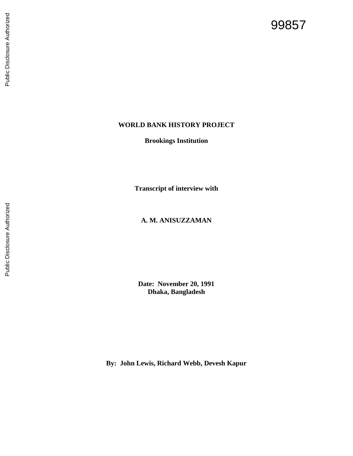# 99857

## **WORLD BANK HISTORY PROJECT**

**Brookings Institution**

**Transcript of interview with**

## **A. M. A NISUZZAMAN**

**Date: November 20, 1991 Dhaka, Bangladesh**

**By: John Lewis, Richard Webb, Devesh Kapur**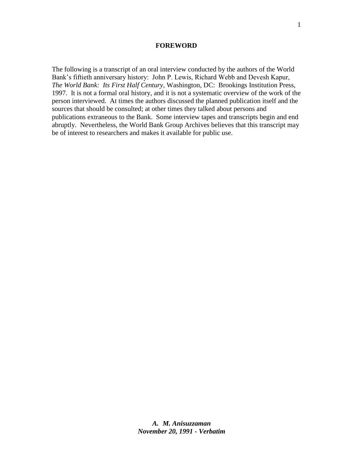#### **FOREWORD**

The following is a transcript of an oral interview conducted by the authors of the World Bank's fiftieth anniversary history: John P. Lewis, Richard Webb and Devesh Kapur, *The World Bank: Its First Half Century,* Washington, DC: Brookings Institution Press, 1997*.* It is not a formal oral history, and it is not a systematic overview of the work of the person interviewed. At times the authors discussed the planned publication itself and the sources that should be consulted; at other times they talked about persons and publications extraneous to the Bank. Some interview tapes and transcripts begin and end abruptly. Nevertheless, the World Bank Group Archives believes that this transcript may be of interest to researchers and makes it available for public use.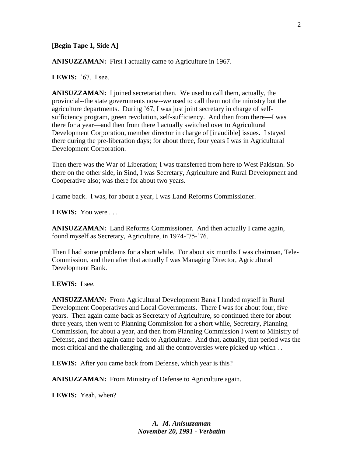#### **[Begin Tape 1, Side A]**

**ANISUZZAMAN:** First I actually came to Agriculture in 1967.

**LEWIS:** '67. I see.

**ANISUZZAMAN:** I joined secretariat then.We used to call them, actually, the provincial--the state governments now--we used to call them not the ministry but the agriculture departments. During '67, I was just joint secretary in charge of selfsufficiency program, green revolution, self-sufficiency. And then from there—I was there for a year—and then from there I actually switched over to Agricultural Development Corporation, member director in charge of [inaudible] issues. I stayed there during the pre-liberation days; for about three, four years I was in Agricultural Development Corporation.

Then there was the War of Liberation; I was transferred from here to West Pakistan. So there on the other side, in Sind, I was Secretary, Agriculture and Rural Development and Cooperative also; was there for about two years.

I came back. I was, for about a year, I was Land Reforms Commissioner.

**LEWIS:** You were . . .

**ANISUZZAMAN:** Land Reforms Commissioner. And then actually I came again, found myself as Secretary, Agriculture, in 1974-'75-'76.

Then I had some problems for a short while. For about six months I was chairman, Tele-Commission, and then after that actually I was Managing Director, Agricultural Development Bank.

#### **LEWIS:** I see.

**ANISUZZAMAN:** From Agricultural Development Bank I landed myself in Rural Development Cooperatives and Local Governments. There I was for about four, five years. Then again came back as Secretary of Agriculture, so continued there for about three years, then went to Planning Commission for a short while, Secretary, Planning Commission, for about a year, and then from Planning Commission I went to Ministry of Defense, and then again came back to Agriculture. And that, actually, that period was the most critical and the challenging, and all the controversies were picked up which . .

**LEWIS:** After you came back from Defense, which year is this?

**ANISUZZAMAN:** From Ministry of Defense to Agriculture again.

**LEWIS:** Yeah, when?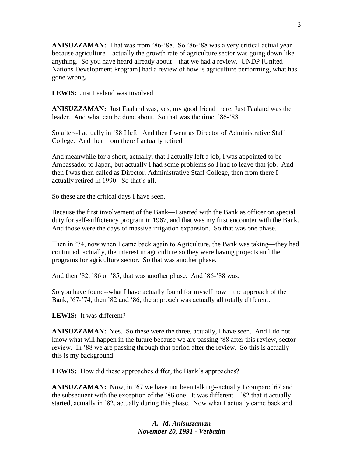**ANISUZZAMAN:** That was from '86-'88. So '86-'88 was a very critical actual year because agriculture—actually the growth rate of agriculture sector was going down like anything. So you have heard already about—that we had a review. UNDP [United Nations Development Program] had a review of how is agriculture performing, what has gone wrong.

**LEWIS:** Just Faaland was involved.

**ANISUZZAMAN:** Just Faaland was, yes, my good friend there. Just Faaland was the leader. And what can be done about. So that was the time, '86-'88.

So after--I actually in '88 I left. And then I went as Director of Administrative Staff College. And then from there I actually retired.

And meanwhile for a short, actually, that I actually left a job, I was appointed to be Ambassador to Japan, but actually I had some problems so I had to leave that job. And then I was then called as Director, Administrative Staff College, then from there I actually retired in 1990. So that's all.

So these are the critical days I have seen.

Because the first involvement of the Bank—I started with the Bank as officer on special duty for self-sufficiency program in 1967, and that was my first encounter with the Bank. And those were the days of massive irrigation expansion. So that was one phase.

Then in '74, now when I came back again to Agriculture, the Bank was taking—they had continued, actually, the interest in agriculture so they were having projects and the programs for agriculture sector. So that was another phase.

And then '82, '86 or '85, that was another phase. And '86-'88 was.

So you have found--what I have actually found for myself now—the approach of the Bank, '67-'74, then '82 and '86, the approach was actually all totally different.

**LEWIS:** It was different?

**ANISUZZAMAN:** Yes. So these were the three, actually, I have seen. And I do not know what will happen in the future because we are passing '88 after this review, sector review. In '88 we are passing through that period after the review. So this is actually this is my background.

LEWIS: How did these approaches differ, the Bank's approaches?

**ANISUZZAMAN:** Now, in '67 we have not been talking--actually I compare '67 and the subsequent with the exception of the '86 one. It was different—'82 that it actually started, actually in '82, actually during this phase. Now what I actually came back and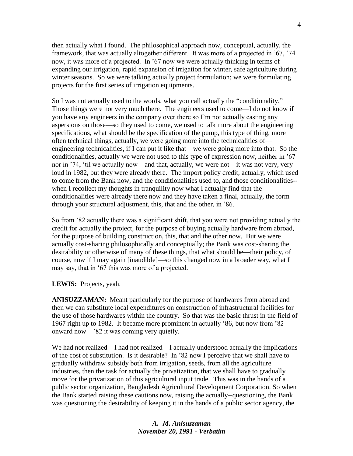then actually what I found. The philosophical approach now, conceptual, actually, the framework, that was actually altogether different. It was more of a projected in '67, '74 now, it was more of a projected. In '67 now we were actually thinking in terms of expanding our irrigation, rapid expansion of irrigation for winter, safe agriculture during winter seasons. So we were talking actually project formulation; we were formulating projects for the first series of irrigation equipments.

So I was not actually used to the words, what you call actually the "conditionality." Those things were not very much there. The engineers used to come—I do not know if you have any engineers in the company over there so I'm not actually casting any aspersions on those—so they used to come, we used to talk more about the engineering specifications, what should be the specification of the pump, this type of thing, more often technical things, actually, we were going more into the technicalities of engineering technicalities, if I can put it like that—we were going more into that. So the conditionalities, actually we were not used to this type of expression now, neither in '67 nor in '74, 'til we actually now—and that, actually, we were not—it was not very, very loud in 1982, but they were already there. The import policy credit, actually, which used to come from the Bank now, and the conditionalities used to, and those conditionalities- when I recollect my thoughts in tranquility now what I actually find that the conditionalities were already there now and they have taken a final, actually, the form through your structural adjustment, this, that and the other, in '86.

So from '82 actually there was a significant shift, that you were not providing actually the credit for actually the project, for the purpose of buying actually hardware from abroad, for the purpose of building construction, this, that and the other now. But we were actually cost-sharing philosophically and conceptually; the Bank was cost-sharing the desirability or otherwise of many of these things, that what should be—their policy, of course, now if I may again [inaudible]—so this changed now in a broader way, what I may say, that in '67 this was more of a projected.

**LEWIS:** Projects, yeah.

**ANISUZZAMAN:** Meant particularly for the purpose of hardwares from abroad and then we can substitute local expenditures on construction of infrastructural facilities for the use of those hardwares within the country. So that was the basic thrust in the field of 1967 right up to 1982. It became more prominent in actually '86, but now from '82 onward now—'82 it was coming very quietly.

We had not realized—I had not realized—I actually understood actually the implications of the cost of substitution. Is it desirable? In '82 now I perceive that we shall have to gradually withdraw subsidy both from irrigation, seeds, from all the agriculture industries, then the task for actually the privatization, that we shall have to gradually move for the privatization of this agricultural input trade. This was in the hands of a public sector organization, Bangladesh Agricultural Development Corporation. So when the Bank started raising these cautions now, raising the actually--questioning, the Bank was questioning the desirability of keeping it in the hands of a public sector agency, the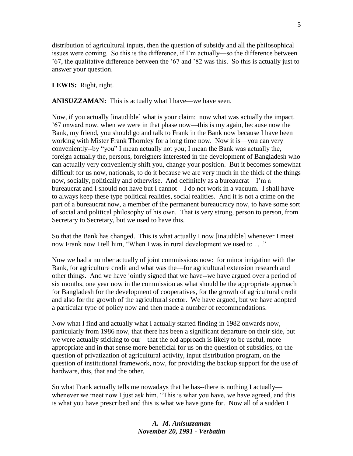distribution of agricultural inputs, then the question of subsidy and all the philosophical issues were coming. So this is the difference, if I'm actually—so the difference between '67, the qualitative difference between the '67 and '82 was this. So this is actually just to answer your question.

## **LEWIS:** Right, right.

**ANISUZZAMAN:** This is actually what I have—we have seen.

Now, if you actually [inaudible] what is your claim: now what was actually the impact. '67 onward now, when we were in that phase now—this is my again, because now the Bank, my friend, you should go and talk to Frank in the Bank now because I have been working with Mister Frank Thornley for a long time now. Now it is—you can very conveniently--by "you" I mean actually not you; I mean the Bank was actually the, foreign actually the, persons, foreigners interested in the development of Bangladesh who can actually very conveniently shift you, change your position. But it becomes somewhat difficult for us now, nationals, to do it because we are very much in the thick of the things now, socially, politically and otherwise. And definitely as a bureaucrat—I'm a bureaucrat and I should not have but I cannot—I do not work in a vacuum. I shall have to always keep these type political realities, social realities. And it is not a crime on the part of a bureaucrat now, a member of the permanent bureaucracy now, to have some sort of social and political philosophy of his own. That is very strong, person to person, from Secretary to Secretary, but we used to have this.

So that the Bank has changed. This is what actually I now [inaudible] whenever I meet now Frank now I tell him, "When I was in rural development we used to . . ."

Now we had a number actually of joint commissions now: for minor irrigation with the Bank, for agriculture credit and what was the—for agricultural extension research and other things. And we have jointly signed that we have--we have argued over a period of six months, one year now in the commission as what should be the appropriate approach for Bangladesh for the development of cooperatives, for the growth of agricultural credit and also for the growth of the agricultural sector. We have argued, but we have adopted a particular type of policy now and then made a number of recommendations.

Now what I find and actually what I actually started finding in 1982 onwards now, particularly from 1986 now, that there has been a significant departure on their side, but we were actually sticking to our—that the old approach is likely to be useful, more appropriate and in that sense more beneficial for us on the question of subsidies, on the question of privatization of agricultural activity, input distribution program, on the question of institutional framework, now, for providing the backup support for the use of hardware, this, that and the other.

So what Frank actually tells me nowadays that he has--there is nothing I actually whenever we meet now I just ask him, "This is what you have, we have agreed, and this is what you have prescribed and this is what we have gone for. Now all of a sudden I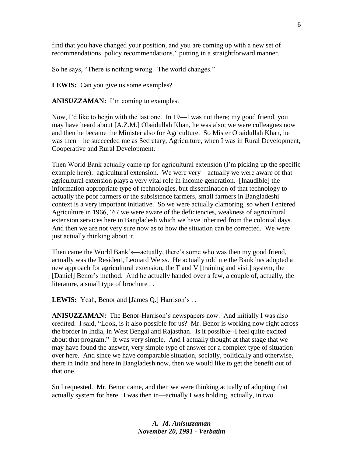find that you have changed your position, and you are coming up with a new set of recommendations, policy recommendations," putting in a straightforward manner.

So he says, "There is nothing wrong. The world changes."

**LEWIS:** Can you give us some examples?

**ANISUZZAMAN:** I'm coming to examples.

Now, I'd like to begin with the last one. In 19—I was not there; my good friend, you may have heard about [A.Z.M.] Obaidullah Khan, he was also; we were colleagues now and then he became the Minister also for Agriculture. So Mister Obaidullah Khan, he was then—he succeeded me as Secretary, Agriculture, when I was in Rural Development, Cooperative and Rural Development.

Then World Bank actually came up for agricultural extension (I'm picking up the specific example here): agricultural extension. We were very—actually we were aware of that agricultural extension plays a very vital role in income generation. [Inaudible] the information appropriate type of technologies, but dissemination of that technology to actually the poor farmers or the subsistence farmers, small farmers in Bangladeshi context is a very important initiative. So we were actually clamoring, so when I entered Agriculture in 1966, '67 we were aware of the deficiencies, weakness of agricultural extension services here in Bangladesh which we have inherited from the colonial days. And then we are not very sure now as to how the situation can be corrected. We were just actually thinking about it.

Then came the World Bank's—actually, there's some who was then my good friend, actually was the Resident, Leonard Weiss. He actually told me the Bank has adopted a new approach for agricultural extension, the T and V [training and visit] system, the [Daniel] Benor's method. And he actually handed over a few, a couple of, actually, the literature, a small type of brochure . .

LEWIS: Yeah, Benor and [James Q.] Harrison's . .

**ANISUZZAMAN:** The Benor-Harrison's newspapers now. And initially I was also credited. I said, "Look, is it also possible for us? Mr. Benor is working now right across the border in India, in West Bengal and Rajasthan. Is it possible--I feel quite excited about that program." It was very simple. And I actually thought at that stage that we may have found the answer, very simple type of answer for a complex type of situation over here. And since we have comparable situation, socially, politically and otherwise, there in India and here in Bangladesh now, then we would like to get the benefit out of that one.

So I requested. Mr. Benor came, and then we were thinking actually of adopting that actually system for here. I was then in—actually I was holding, actually, in two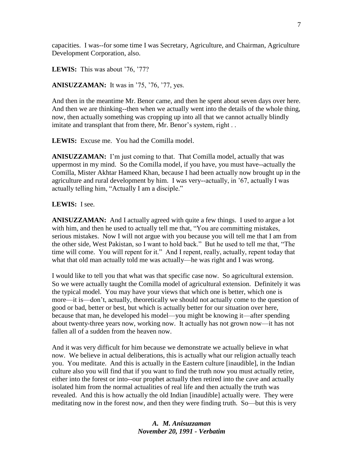capacities. I was--for some time I was Secretary, Agriculture, and Chairman, Agriculture Development Corporation, also.

**LEWIS:** This was about '76, '77?

**ANISUZZAMAN:** It was in '75, '76, '77, yes.

And then in the meantime Mr. Benor came, and then he spent about seven days over here. And then we are thinking--then when we actually went into the details of the whole thing, now, then actually something was cropping up into all that we cannot actually blindly imitate and transplant that from there, Mr. Benor's system, right . .

**LEWIS:** Excuse me. You had the Comilla model.

**ANISUZZAMAN:** I'm just coming to that. That Comilla model, actually that was uppermost in my mind. So the Comilla model, if you have, you must have--actually the Comilla, Mister Akhtar Hameed Khan, because I had been actually now brought up in the agriculture and rural development by him. I was very--actually, in '67, actually I was actually telling him, "Actually I am a disciple."

#### **LEWIS:** I see.

**ANISUZZAMAN:** And I actually agreed with quite a few things. I used to argue a lot with him, and then he used to actually tell me that, "You are committing mistakes, serious mistakes. Now I will not argue with you because you will tell me that I am from the other side, West Pakistan, so I want to hold back." But he used to tell me that, "The time will come. You will repent for it." And I repent, really, actually, repent today that what that old man actually told me was actually—he was right and I was wrong.

I would like to tell you that what was that specific case now. So agricultural extension. So we were actually taught the Comilla model of agricultural extension. Definitely it was the typical model. You may have your views that which one is better, which one is more—it is—don't, actually, theoretically we should not actually come to the question of good or bad, better or best, but which is actually better for our situation over here, because that man, he developed his model—you might be knowing it—after spending about twenty-three years now, working now. It actually has not grown now—it has not fallen all of a sudden from the heaven now.

And it was very difficult for him because we demonstrate we actually believe in what now. We believe in actual deliberations, this is actually what our religion actually teach you. You meditate. And this is actually in the Eastern culture [inaudible], in the Indian culture also you will find that if you want to find the truth now you must actually retire, either into the forest or into--our prophet actually then retired into the cave and actually isolated him from the normal actualities of real life and then actually the truth was revealed. And this is how actually the old Indian [inaudible] actually were. They were meditating now in the forest now, and then they were finding truth. So—but this is very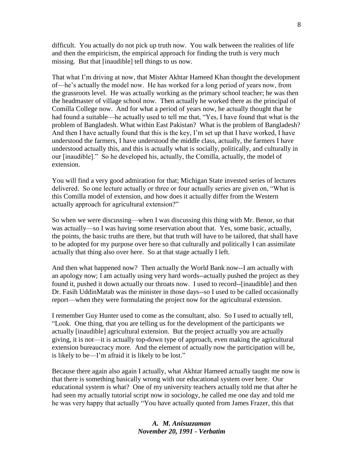difficult. You actually do not pick up truth now. You walk between the realities of life and then the empiricism, the empirical approach for finding the truth is very much missing. But that [inaudible] tell things to us now.

That what I'm driving at now, that Mister Akhtar Hameed Khan thought the development of—he's actually the model now. He has worked for a long period of years now, from the grassroots level. He was actually working as the primary school teacher; he was then the headmaster of village school now. Then actually he worked there as the principal of Comilla College now. And for what a period of years now, he actually thought that he had found a suitable—he actually used to tell me that, "Yes, I have found that what is the problem of Bangladesh. What within East Pakistan? What is the problem of Bangladesh? And then I have actually found that this is the key, I'm set up that I have worked, I have understood the farmers, I have understood the middle class, actually, the farmers I have understood actually this, and this is actually what is socially, politically, and culturally in our [inaudible]." So he developed his, actually, the Comilla, actually, the model of extension.

You will find a very good admiration for that; Michigan State invested series of lectures delivered. So one lecture actually or three or four actually series are given on, "What is this Comilla model of extension, and how does it actually differ from the Western actually approach for agricultural extension?"

So when we were discussing—when I was discussing this thing with Mr. Benor, so that was actually—so I was having some reservation about that. Yes, some basic, actually, the points, the basic truths are there, but that truth will have to be tailored, that shall have to be adopted for my purpose over here so that culturally and politically I can assimilate actually that thing also over here. So at that stage actually I left.

And then what happened now? Then actually the World Bank now--I am actually with an apology now; I am actually using very hard words--actually pushed the project as they found it, pushed it down actually our throats now. I used to record--[inaudible] and then Dr. Fasih UddinMatab was the minister in those days--so I used to be called occasionally report—when they were formulating the project now for the agricultural extension.

I remember Guy Hunter used to come as the consultant, also. So I used to actually tell, "Look. One thing, that you are telling us for the development of the participants we actually [inaudible] agricultural extension. But the project actually you are actually giving, it is not—it is actually top-down type of approach, even making the agricultural extension bureaucracy more. And the element of actually now the participation will be, is likely to be—I'm afraid it is likely to be lost."

Because there again also again I actually, what Akhtar Hameed actually taught me now is that there is something basically wrong with our educational system over here. Our educational system is what? One of my university teachers actually told me that after he had seen my actually tutorial script now in sociology, he called me one day and told me he was very happy that actually "You have actually quoted from James Frazer, this that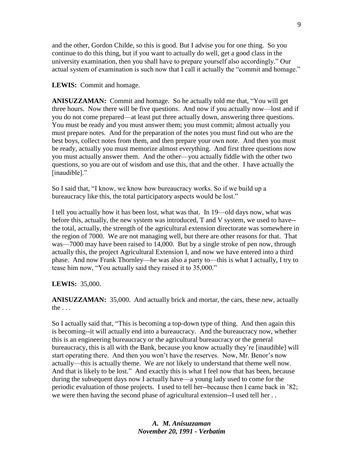and the other, Gordon Childe, so this is good. But I advise you for one thing. So you continue to do this thing, but if you want to actually do well, get a good class in the university examination, then you shall have to prepare yourself also accordingly." Our actual system of examination is such now that I call it actually the "commit and homage."

### **LEWIS:** Commit and homage.

**ANISUZZAMAN:** Commit and homage. So he actually told me that, "You will get three hours. Now there will be five questions. And now if you actually now—lost and if you do not come prepared—at least put three actually down, answering three questions. You must be ready and you must answer them; you must commit; almost actually you must prepare notes. And for the preparation of the notes you must find out who are the best boys, collect notes from them, and then prepare your own note. And then you must be ready, actually you must memorize almost everything. And first three questions now you must actually answer them. And the other—you actually fiddle with the other two questions, so you are out of wisdom and use this, that and the other. I have actually the [inaudible]."

So I said that, "I know, we know how bureaucracy works. So if we build up a bureaucracy like this, the total participatory aspects would be lost."

I tell you actually how it has been lost, what was that. In 19—old days now, what was before this, actually, the new system was introduced, T and V system, we used to have- the total, actually, the strength of the agricultural extension directorate was somewhere in the region of 7000. We are not managing well, but there are other reasons for that. That was—7000 may have been raised to 14,000. But by a single stroke of pen now, through actually this, the project Agricultural Extension I, and now we have entered into a third phase. And now Frank Thornley—he was also a party to—this is what I actually, I try to tease him now, "You actually said they raised it to 35,000."

## **LEWIS:** 35,000.

**ANISUZZAMAN:** 35,000. And actually brick and mortar, the cars, these new, actually the . . .

So I actually said that, "This is becoming a top-down type of thing. And then again this is becoming--it will actually end into a bureaucracy. And the bureaucracy now, whether this is an engineering bureaucracy or the agricultural bureaucracy or the general bureaucracy, this is all with the Bank, because you know actually they're [inaudible] will start operating there. And then you won't have the reserves. Now, Mr. Benor's now actually—this is actually theme. We are not likely to understand that theme well now. And that is likely to be lost." And exactly this is what I feel now that has been, because during the subsequent days now I actually have—a young lady used to come for the periodic evaluation of those projects. I used to tell her--because then I came back in '82; we were then having the second phase of agricultural extension--I used tell her . .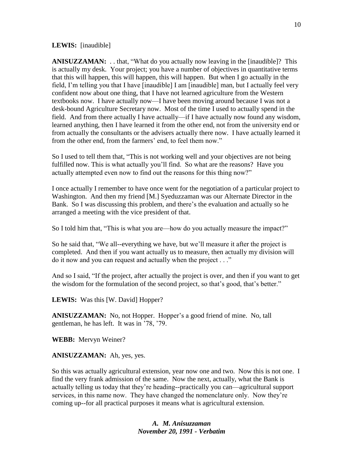#### **LEWIS:** [inaudible]

**ANISUZZAMAN:** . . that, "What do you actually now leaving in the [inaudible]? This is actually my desk. Your project; you have a number of objectives in quantitative terms that this will happen, this will happen, this will happen. But when I go actually in the field, I'm telling you that I have [inaudible] I am [inaudible] man, but I actually feel very confident now about one thing, that I have not learned agriculture from the Western textbooks now. I have actually now—I have been moving around because I was not a desk-bound Agriculture Secretary now. Most of the time I used to actually spend in the field. And from there actually I have actually—if I have actually now found any wisdom, learned anything, then I have learned it from the other end, not from the university end or from actually the consultants or the advisers actually there now. I have actually learned it from the other end, from the farmers' end, to feel them now."

So I used to tell them that, "This is not working well and your objectives are not being fulfilled now. This is what actually you'll find. So what are the reasons? Have you actually attempted even now to find out the reasons for this thing now?"

I once actually I remember to have once went for the negotiation of a particular project to Washington. And then my friend [M.] Syeduzzaman was our Alternate Director in the Bank. So I was discussing this problem, and there's the evaluation and actually so he arranged a meeting with the vice president of that.

So I told him that, "This is what you are—how do you actually measure the impact?"

So he said that, "We all--everything we have, but we'll measure it after the project is completed. And then if you want actually us to measure, then actually my division will do it now and you can request and actually when the project . . ."

And so I said, "If the project, after actually the project is over, and then if you want to get the wisdom for the formulation of the second project, so that's good, that's better."

LEWIS: Was this [W. David] Hopper?

**ANISUZZAMAN:** No, not Hopper. Hopper's a good friend of mine. No, tall gentleman, he has left. It was in '78, '79.

**WEBB:** Mervyn Weiner?

**ANISUZZAMAN:** Ah, yes, yes.

So this was actually agricultural extension, year now one and two. Now this is not one. I find the very frank admission of the same. Now the next, actually, what the Bank is actually telling us today that they're heading--practically you can—agricultural support services, in this name now. They have changed the nomenclature only. Now they're coming up--for all practical purposes it means what is agricultural extension.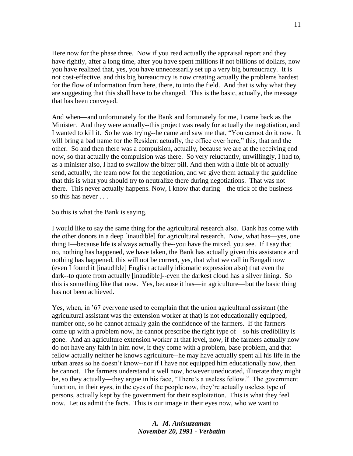Here now for the phase three. Now if you read actually the appraisal report and they have rightly, after a long time, after you have spent millions if not billions of dollars, now you have realized that, yes, you have unnecessarily set up a very big bureaucracy. It is not cost-effective, and this big bureaucracy is now creating actually the problems hardest for the flow of information from here, there, to into the field. And that is why what they are suggesting that this shall have to be changed. This is the basic, actually, the message that has been conveyed.

And when—and unfortunately for the Bank and fortunately for me, I came back as the Minister. And they were actually--this project was ready for actually the negotiation, and I wanted to kill it. So he was trying--he came and saw me that, "You cannot do it now. It will bring a bad name for the Resident actually, the office over here," this, that and the other. So and then there was a compulsion, actually, because we are at the receiving end now, so that actually the compulsion was there. So very reluctantly, unwillingly, I had to, as a minister also, I had to swallow the bitter pill. And then with a little bit of actually– send, actually, the team now for the negotiation, and we give them actually the guideline that this is what you should try to neutralize there during negotiations. That was not there. This never actually happens. Now, I know that during—the trick of the business so this has never . . .

So this is what the Bank is saying.

I would like to say the same thing for the agricultural research also. Bank has come with the other donors in a deep [inaudible] for agricultural research. Now, what has—yes, one thing I—because life is always actually the--you have the mixed, you see. If I say that no, nothing has happened, we have taken, the Bank has actually given this assistance and nothing has happened, this will not be correct, yes, that what we call in Bengali now (even I found it [inaudible] English actually idiomatic expression also) that even the dark--to quote from actually [inaudible]--even the darkest cloud has a silver lining. So this is something like that now. Yes, because it has—in agriculture—but the basic thing has not been achieved.

Yes, when, in '67 everyone used to complain that the union agricultural assistant (the agricultural assistant was the extension worker at that) is not educationally equipped, number one, so he cannot actually gain the confidence of the farmers. If the farmers come up with a problem now, he cannot prescribe the right type of—so his credibility is gone. And an agriculture extension worker at that level, now, if the farmers actually now do not have any faith in him now, if they come with a problem, base problem, and that fellow actually neither he knows agriculture--he may have actually spent all his life in the urban areas so he doesn't know--nor if I have not equipped him educationally now, then he cannot. The farmers understand it well now, however uneducated, illiterate they might be, so they actually—they argue in his face, "There's a useless fellow." The government function, in their eyes, in the eyes of the people now, they're actually useless type of persons, actually kept by the government for their exploitation. This is what they feel now. Let us admit the facts. This is our image in their eyes now, who we want to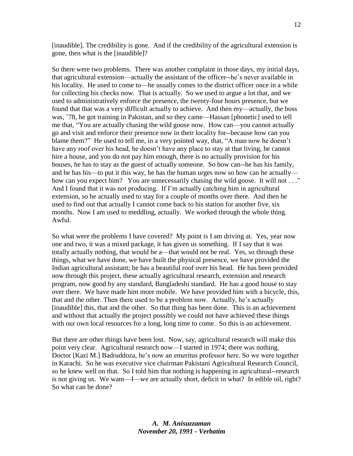[inaudible]. The credibility is gone. And if the credibility of the agricultural extension is gone, then what is the [inaudible]?

So there were two problems. There was another complaint in those days, my initial days, that agricultural extension—actually the assistant of the officer--he's never available in his locality. He used to come to—he usually comes to the district officer once in a while for collecting his checks now. That is actually. So we used to argue a lot that, and we used to administratively enforce the presence, the twenty-four hours presence, but we found that that was a very difficult actually to achieve. And then my—actually, the boss was, '78, he got training in Pakistan, and so they came—Hassan [phonetic] used to tell me that, "You are actually chasing the wild goose now. How can—you cannot actually go and visit and enforce their presence now in their locality for--because how can you blame them?" He used to tell me, in a very pointed way, that, "A man now he doesn't have any roof over his head, he doesn't have any place to stay at that living, he cannot hire a house, and you do not pay him enough, there is no actually provision for his houses, he has to stay as the guest of actually someone. So how can--he has his family, and he has his—to put it this way, he has the human urges now so how can he actually how can you expect him? You are unnecessarily chasing the wild goose. It will not . . ." And I found that it was not producing. If I'm actually catching him in agricultural extension, so he actually used to stay for a couple of months over there. And then he used to find out that actually I cannot come back to his station for another five, six months. Now I am used to meddling, actually. We worked through the whole thing. Awful.

So what were the problems I have covered? My point is I am driving at. Yes, year now one and two, it was a mixed package, it has given us something. If I say that it was totally actually nothing, that would be a—that would not be real. Yes, so through these things, what we have done, we have built the physical presence, we have provided the Indian agricultural assistant; he has a beautiful roof over his head. He has been provided now through this project, these actually agricultural research, extension and research program, now good by any standard, Bangladeshi standard. He has a good house to stay over there. We have made him more mobile. We have provided him with a bicycle, this, that and the other. Then there used to be a problem now. Actually, he's actually [inaudible] this, that and the other. So that thing has been done. This is an achievement and without that actually the project possibly we could not have achieved these things with our own local resources for a long, long time to come. So this is an achievement.

But there are other things have been lost. Now, say, agricultural research will make this point very clear. Agricultural research now—I started in 1974; there was nothing. Doctor [Kazi M.] Badruddoza, he's now an emeritus professor here. So we were together in Karachi. So he was executive vice chairman Pakistani Agricultural Research Council, so he knew well on that. So I told him that nothing is happening in agricultural--research is not giving us. We want—I—we are actually short, deficit in what? In edible oil, right? So what can be done?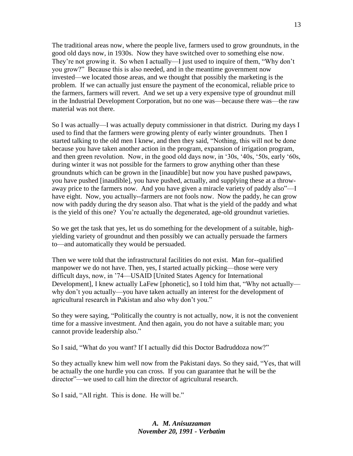The traditional areas now, where the people live, farmers used to grow groundnuts, in the good old days now, in 1930s. Now they have switched over to something else now. They're not growing it. So when I actually—I just used to inquire of them, "Why don't you grow?" Because this is also needed, and in the meantime government now invested—we located those areas, and we thought that possibly the marketing is the problem. If we can actually just ensure the payment of the economical, reliable price to the farmers, farmers will revert. And we set up a very expensive type of groundnut mill in the Industrial Development Corporation, but no one was—because there was—the raw material was not there.

So I was actually—I was actually deputy commissioner in that district. During my days I used to find that the farmers were growing plenty of early winter groundnuts. Then I started talking to the old men I knew, and then they said, "Nothing, this will not be done because you have taken another action in the program, expansion of irrigation program, and then green revolution. Now, in the good old days now, in '30s, '40s, '50s, early '60s, during winter it was not possible for the farmers to grow anything other than these groundnuts which can be grown in the [inaudible] but now you have pushed pawpaws, you have pushed [inaudible], you have pushed, actually, and supplying these at a throwaway price to the farmers now. And you have given a miracle variety of paddy also"—I have eight. Now, you actually--farmers are not fools now. Now the paddy, he can grow now with paddy during the dry season also. That what is the yield of the paddy and what is the yield of this one? You're actually the degenerated, age-old groundnut varieties.

So we get the task that yes, let us do something for the development of a suitable, highyielding variety of groundnut and then possibly we can actually persuade the farmers to—and automatically they would be persuaded.

Then we were told that the infrastructural facilities do not exist. Man for--qualified manpower we do not have. Then, yes, I started actually picking—those were very difficult days, now, in '74—USAID [United States Agency for International Development], I knew actually LaFew [phonetic], so I told him that, "Why not actually why don't you actually—you have taken actually an interest for the development of agricultural research in Pakistan and also why don't you."

So they were saying, "Politically the country is not actually, now, it is not the convenient time for a massive investment. And then again, you do not have a suitable man; you cannot provide leadership also."

So I said, "What do you want? If I actually did this Doctor Badruddoza now?"

So they actually knew him well now from the Pakistani days. So they said, "Yes, that will be actually the one hurdle you can cross. If you can guarantee that he will be the director"—we used to call him the director of agricultural research.

So I said, "All right. This is done. He will be."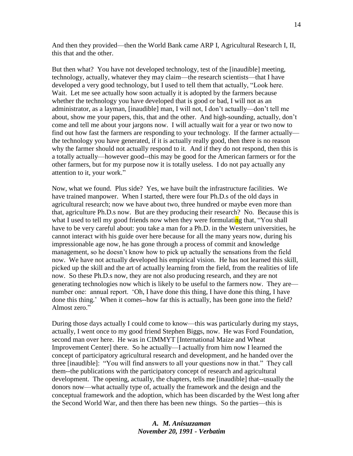And then they provided—then the World Bank came ARP I, Agricultural Research I, II, this that and the other.

But then what? You have not developed technology, test of the [inaudible] meeting, technology, actually, whatever they may claim—the research scientists—that I have developed a very good technology, but I used to tell them that actually, "Look here. Wait. Let me see actually how soon actually it is adopted by the farmers because whether the technology you have developed that is good or bad, I will not as an administrator, as a layman, [inaudible] man, I will not, I don't actually—don't tell me about, show me your papers, this, that and the other. And high-sounding, actually, don't come and tell me about your jargons now. I will actually wait for a year or two now to find out how fast the farmers are responding to your technology. If the farmer actually the technology you have generated, if it is actually really good, then there is no reason why the farmer should not actually respond to it. And if they do not respond, then this is a totally actually—however good--this may be good for the American farmers or for the other farmers, but for my purpose now it is totally useless. I do not pay actually any attention to it, your work."

Now, what we found. Plus side? Yes, we have built the infrastructure facilities. We have trained manpower. When I started, there were four Ph.D.s of the old days in agricultural research; now we have about two, three hundred or maybe even more than that, agriculture Ph.D.s now. But are they producing their research? No. Because this is what I used to tell my good friends now when they were formulating that, "You shall have to be very careful about: you take a man for a Ph.D. in the Western universities, he cannot interact with his guide over here because for all the many years now, during his impressionable age now, he has gone through a process of commit and knowledge management, so he doesn't know how to pick up actually the sensations from the field now. We have not actually developed his empirical vision. He has not learned this skill, picked up the skill and the art of actually learning from the field, from the realities of life now. So these Ph.D.s now, they are not also producing research, and they are not generating technologies now which is likely to be useful to the farmers now. They are number one: annual report. 'Oh, I have done this thing, I have done this thing, I have done this thing.' When it comes--how far this is actually, has been gone into the field? Almost zero."

During those days actually I could come to know—this was particularly during my stays, actually, I went once to my good friend Stephen Biggs, now. He was Ford Foundation, second man over here. He was in CIMMYT [International Maize and Wheat Improvement Center] there. So he actually—I actually from him now I learned the concept of participatory agricultural research and development, and he handed over the three [inaudible]: "You will find answers to all your questions now in that." They call them--the publications with the participatory concept of research and agricultural development. The opening, actually, the chapters, tells me [inaudible] that--usually the donors now—what actually type of, actually the framework and the design and the conceptual framework and the adoption, which has been discarded by the West long after the Second World War, and then there has been new things. So the parties—this is